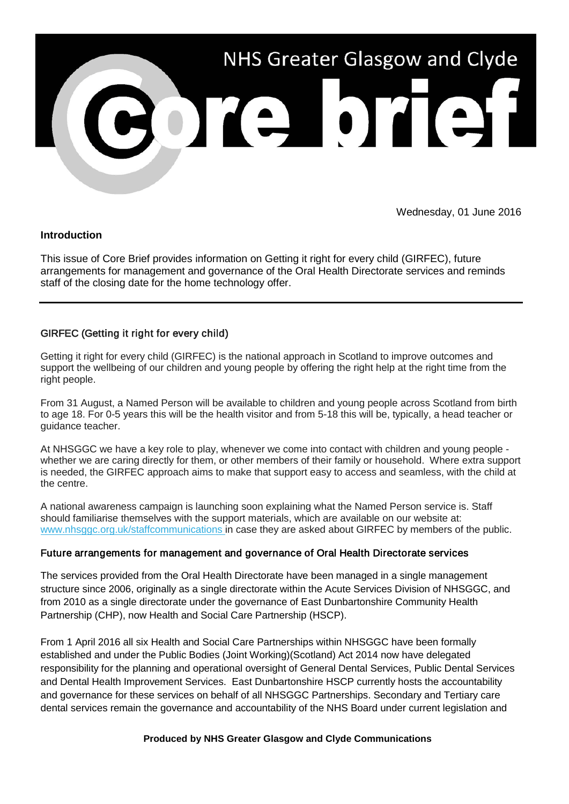

Wednesday, 01 June 2016

### **Introduction**

This issue of Core Brief provides information on Getting it right for every child (GIRFEC), future arrangements for management and governance of the Oral Health Directorate services and reminds staff of the closing date for the home technology offer.

# GIRFEC (Getting it right for every child)

Getting it right for every child (GIRFEC) is the national approach in Scotland to improve outcomes and support the wellbeing of our children and young people by offering the right help at the right time from the right people.

From 31 August, a Named Person will be available to children and young people across Scotland from birth to age 18. For 0-5 years this will be the health visitor and from 5-18 this will be, typically, a head teacher or guidance teacher.

At NHSGGC we have a key role to play, whenever we come into contact with children and young people whether we are caring directly for them, or other members of their family or household. Where extra support is needed, the GIRFEC approach aims to make that support easy to access and seamless, with the child at the centre.

A national awareness campaign is launching soon explaining what the Named Person service is. Staff should familiarise themselves with the support materials, which are available on our website at: [www.nhsggc.org.uk/staffcommunications i](http://nhsggc.us12.list-manage.com/track/click?u=0f385b5aea37eaf0213bd19fb&id=efbeb30015&e=5af5e1832c)n case they are asked about GIRFEC by members of the public.

# Future arrangements for management and governance of Oral Health Directorate services

The services provided from the Oral Health Directorate have been managed in a single management structure since 2006, originally as a single directorate within the Acute Services Division of NHSGGC, and from 2010 as a single directorate under the governance of East Dunbartonshire Community Health Partnership (CHP), now Health and Social Care Partnership (HSCP).

From 1 April 2016 all six Health and Social Care Partnerships within NHSGGC have been formally established and under the Public Bodies (Joint Working)(Scotland) Act 2014 now have delegated responsibility for the planning and operational oversight of General Dental Services, Public Dental Services and Dental Health Improvement Services. East Dunbartonshire HSCP currently hosts the accountability and governance for these services on behalf of all NHSGGC Partnerships. Secondary and Tertiary care dental services remain the governance and accountability of the NHS Board under current legislation and

### **Produced by NHS Greater Glasgow and Clyde Communications**